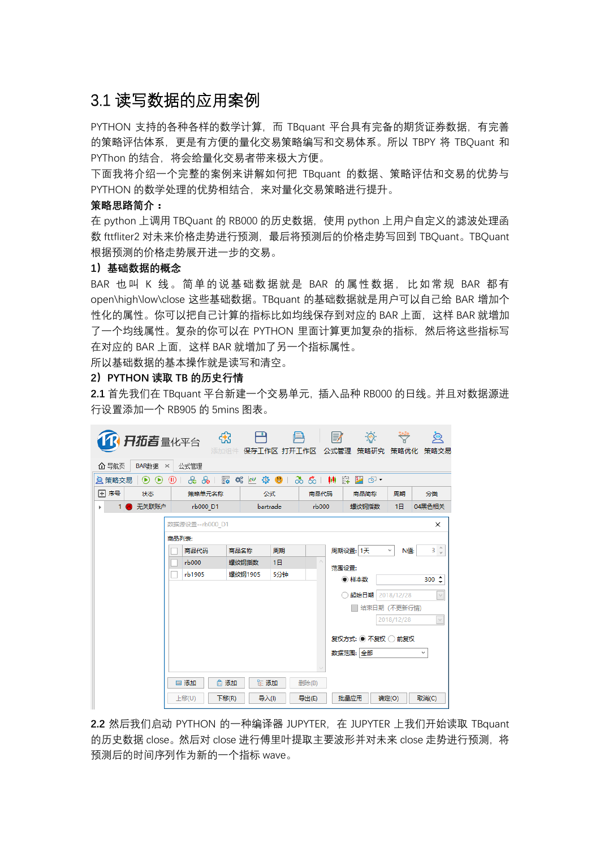# 3.1 读写数据的应用案例

PYTHON 支持的各种各样的数学计算, 而 TBquant 平台具有完备的期货证券数据, 有完善 的策略评估体系,更是有方便的量化交易策略编写和交易体系。所以 TBPY 将 TBQuant 和 PYThon 的结合,将会给量化交易者带来极大方便。

下面我将介绍一个完整的案例来讲解如何把 TBquant 的数据、策略评估和交易的优势与 PYTHON 的数学处理的优势相结合,来对量化交易策略进行提升。

#### **策略思路简介:**

在 python 上调用 TBQuant 的 RB000 的历史数据,使用 python 上用户自定义的滤波处理函 数 fttfliter2 对未来价格走势进行预测,最后将预测后的价格走势写回到 TBQuant。TBQuant 根据预测的价格走势展开进一步的交易。

#### **1)基础数据的概念**

BAR 也叫 K 线。简单的说基础数据就是 BAR 的属性数据, 比如常规 BAR 都有 open\high\low\close 这些基础数据。TBquant 的基础数据就是用户可以自己给 BAR 增加个 性化的属性。你可以把自己计算的指标比如均线保存到对应的 BAR 上面,这样 BAR 就增加 了一个均线属性。复杂的你可以在 PYTHON 里面计算更加复杂的指标,然后将这些指标写 在对应的 BAR 上面,这样 BAR 就增加了另一个指标属性。

所以基础数据的基本操作就是读写和清空。

### **2)PYTHON 读取 TB 的历史行情**

**2.1** 首先我们在 TBquant 平台新建一个交易单元,插入品种 RB000 的日线。并且对数据源进 行设置添加一个 RB905 的 5mins 图表。

| 1 日拓吉量化平台                                                                                                                      |                              | ਲੇ   |             |     | e7    | $-\widehat{\left\langle \Phi \right\rangle}$ |                |                               |  |
|--------------------------------------------------------------------------------------------------------------------------------|------------------------------|------|-------------|-----|-------|----------------------------------------------|----------------|-------------------------------|--|
| 仚 导航页<br>BAR数据                                                                                                                 | 公式管理<br>$\times$             | 添加组件 | 保存工作区 打开工作区 |     | 公式管理  | 策略研究                                         | 策略优化           | 策略交易                          |  |
| 巋<br>ゐゐ   榊<br>嶽<br>$\mathbf{e}$<br>ල -<br>ஃ<br>ထိ<br>œ<br>脚<br>S.<br><b>Q</b> 策略交易<br>$^{\circ}$<br>$^{\circ}$<br>⋒<br>$\sim$ |                              |      |             |     |       |                                              |                |                               |  |
| 国序号<br>状态                                                                                                                      | 策略单元名称                       |      | 公式          |     | 商品代码  | 商品简称                                         | 周期             | 分类                            |  |
| 无关联账户                                                                                                                          | rb000 D1                     |      | bartrade    |     | rb000 | 螺纹钢指数                                        | 1 <sup>H</sup> | 04黑色相关                        |  |
| 数据源设置--rb000 D1<br>×                                                                                                           |                              |      |             |     |       |                                              |                |                               |  |
| 商品列表:                                                                                                                          |                              |      |             |     |       |                                              |                |                               |  |
|                                                                                                                                | 商品代码                         |      | 周期<br>商品名称  |     |       | 周期设置: 1天                                     | N值:<br>v       | $3 \text{ } \hat{\mathbb{C}}$ |  |
|                                                                                                                                | r <sub>b000</sub>            |      | 1日<br>螺纹钢指数 |     |       | 范围设置:                                        |                |                               |  |
|                                                                                                                                | rb1905                       |      | 螺纹钢1905     | 5分钟 |       | ● 样本数                                        |                | $300^\circ$                   |  |
|                                                                                                                                |                              |      |             |     |       | 起始日期 2018/12/28                              |                | $\smallsetminus$              |  |
|                                                                                                                                |                              |      |             |     |       | 结束日期 (不更新行情)                                 |                |                               |  |
|                                                                                                                                |                              |      |             |     |       |                                              | 2018/12/28     | $\vee$                        |  |
|                                                                                                                                | 复权方式: ◉ 不复权 ◯ 前复权            |      |             |     |       |                                              |                |                               |  |
|                                                                                                                                |                              |      |             |     |       |                                              |                |                               |  |
|                                                                                                                                | 数据范围: 全部                     |      |             |     |       |                                              |                | v                             |  |
|                                                                                                                                | □ 添加<br>医添加<br>■ 添加<br>删除(B) |      |             |     |       |                                              |                |                               |  |
|                                                                                                                                |                              |      |             |     |       |                                              |                |                               |  |
|                                                                                                                                | 导入(I)<br>上移(U)<br>下移(R)      |      |             |     | 导出(E) | 批量应用                                         | 确定(O)          | 取消(C)                         |  |

**2.2** 然后我们启动 PYTHON 的一种编译器 JUPYTER, 在 JUPYTER 上我们开始读取 TBquant 的历史数据 close。然后对 close 进行傅里叶提取主要波形并对未来 close 走势进行预测, 将 预测后的时间序列作为新的一个指标 wave。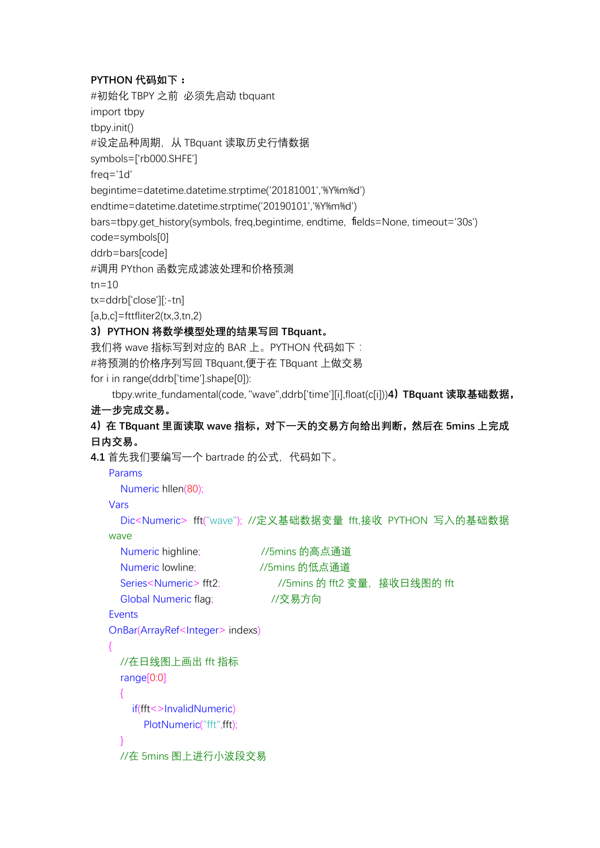## **PYTHON 代码如下:**

```
#初始化 TBPY 之前 必须先启动 tbquant
import tbpy
tbpy.init()
#设定品种周期,从 TBquant 读取历史行情数据
symbols=['rb000.SHFE']
freq='1d'
begintime=datetime.datetime.strptime('20181001','%Y%m%d')
endtime=datetime.datetime.strptime('20190101','%Y%m%d')
bars=tbpy.get_history(symbols, freq,begintime, endtime, fields=None, timeout='30s')
code=symbols[0]
ddrb=bars[code]
#调用 PYthon 函数完成滤波处理和价格预测
tn=10tx=ddrb['close'][:-tn]
[a,b,c]=fttfliter2(tx,3,tn,2)
3)PYTHON 将数学模型处理的结果写回 TBquant。
我们将 wave 指标写到对应的 BAR 上。PYTHON 代码如下:
#将预测的价格序列写回 TBquant,便于在 TBquant 上做交易
for i in range(ddrb['time'].shape[0]):
    tbpy.write_fundamental(code, "wave",ddrb['time'][i],float(c[i]))4)TBquant 读取基础数据,
进一步完成交易。
4)在 TBquant 里面读取 wave 指标,对下一天的交易方向给出判断,然后在 5mins 上完成
日内交易。
4.1 首先我们要编写一个 bartrade 的公式,代码如下。
   Params
     Numeric hllen(80);
   Vars
     Dic<Numeric> fft("wave"); //定义基础数据变量 fft,接收 PYTHON 写入的基础数据
   wave
     Numeric highline; //5mins 的高点通道
     Numeric lowline; //5mins 的低点通道
     Series<Numeric> fft2; <br> //5mins 的 fft2 变量, 接收日线图的 fft
     Global Numeric flag; //交易方向
   Events
   OnBar(ArrayRef<Integer> indexs)
   {
     //在日线图上画出 fft 指标
     range[0:0]
     {
      if(fft<>InvalidNumeric)
         PlotNumeric("fft",fft);
     }
    //在 5mins 图上进行小波段交易
```